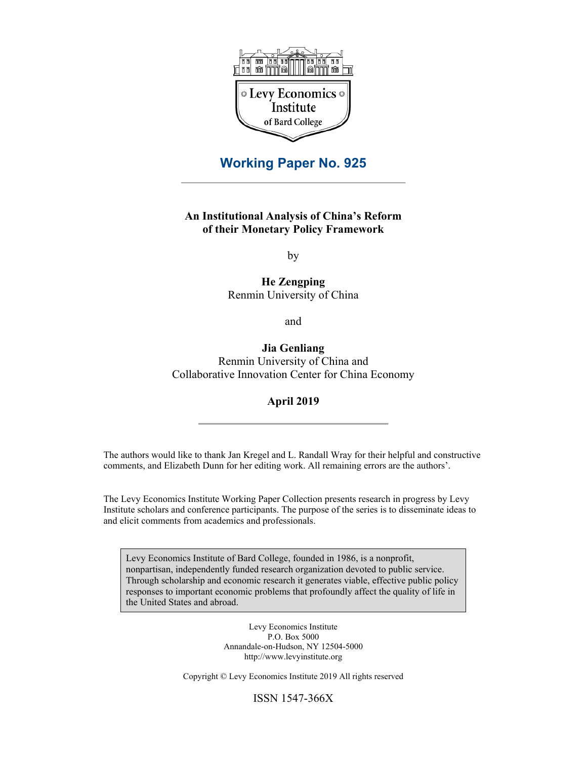

## **Working Paper No. 925**

## **An Institutional Analysis of China's Reform of their Monetary Policy Framework**

by

**He Zengping**  Renmin University of China

and

**Jia Genliang**  Renmin University of China and Collaborative Innovation Center for China Economy

## **April 2019**

The authors would like to thank Jan Kregel and L. Randall Wray for their helpful and constructive comments, and Elizabeth Dunn for her editing work. All remaining errors are the authors'.

The Levy Economics Institute Working Paper Collection presents research in progress by Levy Institute scholars and conference participants. The purpose of the series is to disseminate ideas to and elicit comments from academics and professionals.

Levy Economics Institute of Bard College, founded in 1986, is a nonprofit, nonpartisan, independently funded research organization devoted to public service. Through scholarship and economic research it generates viable, effective public policy responses to important economic problems that profoundly affect the quality of life in the United States and abroad.

> Levy Economics Institute P.O. Box 5000 Annandale-on-Hudson, NY 12504-5000 http://www.levyinstitute.org

Copyright © Levy Economics Institute 2019 All rights reserved

ISSN 1547-366X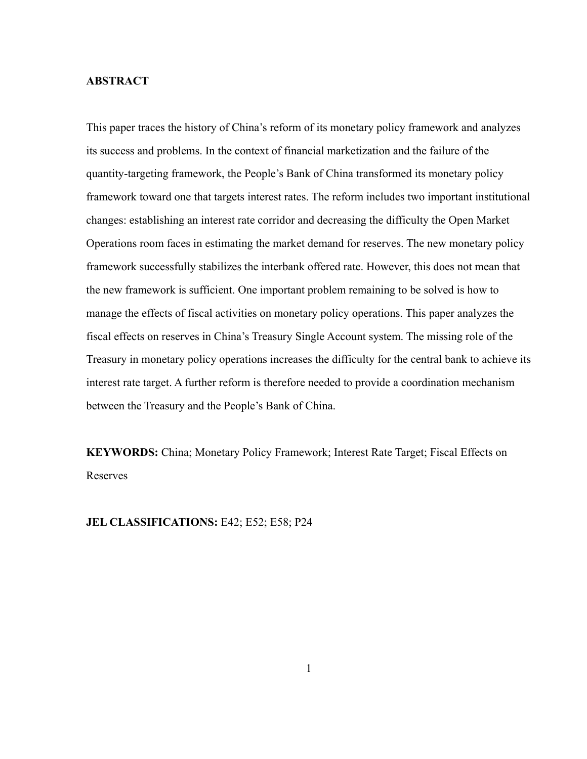## **ABSTRACT**

This paper traces the history of China's reform of its monetary policy framework and analyzes its success and problems. In the context of financial marketization and the failure of the quantity-targeting framework, the People's Bank of China transformed its monetary policy framework toward one that targets interest rates. The reform includes two important institutional changes: establishing an interest rate corridor and decreasing the difficulty the Open Market Operations room faces in estimating the market demand for reserves. The new monetary policy framework successfully stabilizes the interbank offered rate. However, this does not mean that the new framework is sufficient. One important problem remaining to be solved is how to manage the effects of fiscal activities on monetary policy operations. This paper analyzes the fiscal effects on reserves in China's Treasury Single Account system. The missing role of the Treasury in monetary policy operations increases the difficulty for the central bank to achieve its interest rate target. A further reform is therefore needed to provide a coordination mechanism between the Treasury and the People's Bank of China.

**KEYWORDS:** China; Monetary Policy Framework; Interest Rate Target; Fiscal Effects on Reserves

**JEL CLASSIFICATIONS:** E42; E52; E58; P24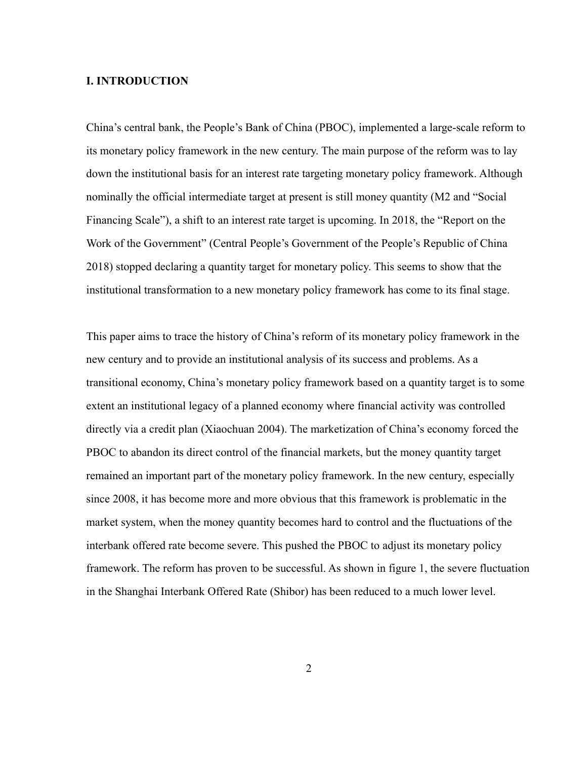## **I. INTRODUCTION**

China's central bank, the People's Bank of China (PBOC), implemented a large-scale reform to its monetary policy framework in the new century. The main purpose of the reform was to lay down the institutional basis for an interest rate targeting monetary policy framework. Although nominally the official intermediate target at present is still money quantity (M2 and "Social Financing Scale"), a shift to an interest rate target is upcoming. In 2018, the "Report on the Work of the Government" (Central People's Government of the People's Republic of China 2018) stopped declaring a quantity target for monetary policy. This seems to show that the institutional transformation to a new monetary policy framework has come to its final stage.

This paper aims to trace the history of China's reform of its monetary policy framework in the new century and to provide an institutional analysis of its success and problems. As a transitional economy, China's monetary policy framework based on a quantity target is to some extent an institutional legacy of a planned economy where financial activity was controlled directly via a credit plan (Xiaochuan 2004). The marketization of China's economy forced the PBOC to abandon its direct control of the financial markets, but the money quantity target remained an important part of the monetary policy framework. In the new century, especially since 2008, it has become more and more obvious that this framework is problematic in the market system, when the money quantity becomes hard to control and the fluctuations of the interbank offered rate become severe. This pushed the PBOC to adjust its monetary policy framework. The reform has proven to be successful. As shown in figure 1, the severe fluctuation in the Shanghai Interbank Offered Rate (Shibor) has been reduced to a much lower level.

2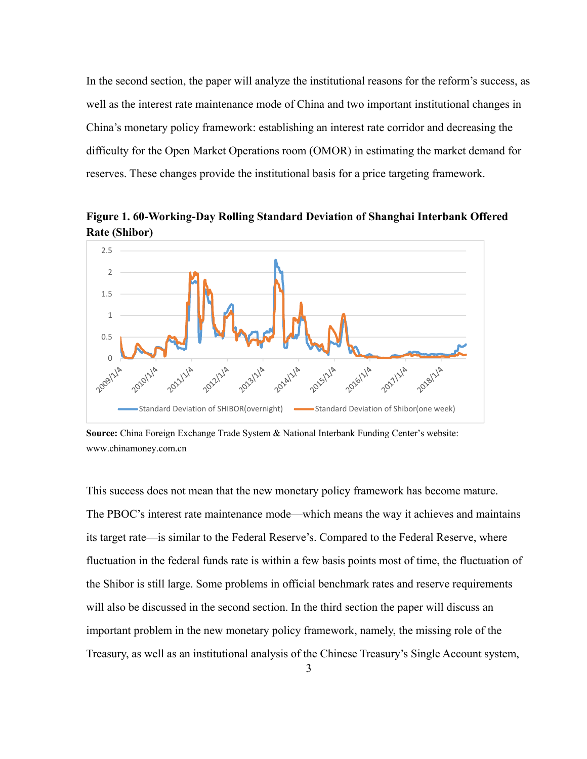In the second section, the paper will analyze the institutional reasons for the reform's success, as well as the interest rate maintenance mode of China and two important institutional changes in China's monetary policy framework: establishing an interest rate corridor and decreasing the difficulty for the Open Market Operations room (OMOR) in estimating the market demand for reserves. These changes provide the institutional basis for a price targeting framework.

**Figure 1. 60-Working-Day Rolling Standard Deviation of Shanghai Interbank Offered Rate (Shibor)** 



**Source:** China Foreign Exchange Trade System & National Interbank Funding Center's website: www.chinamoney.com.cn

This success does not mean that the new monetary policy framework has become mature. The PBOC's interest rate maintenance mode—which means the way it achieves and maintains its target rate—is similar to the Federal Reserve's. Compared to the Federal Reserve, where fluctuation in the federal funds rate is within a few basis points most of time, the fluctuation of the Shibor is still large. Some problems in official benchmark rates and reserve requirements will also be discussed in the second section. In the third section the paper will discuss an important problem in the new monetary policy framework, namely, the missing role of the Treasury, as well as an institutional analysis of the Chinese Treasury's Single Account system,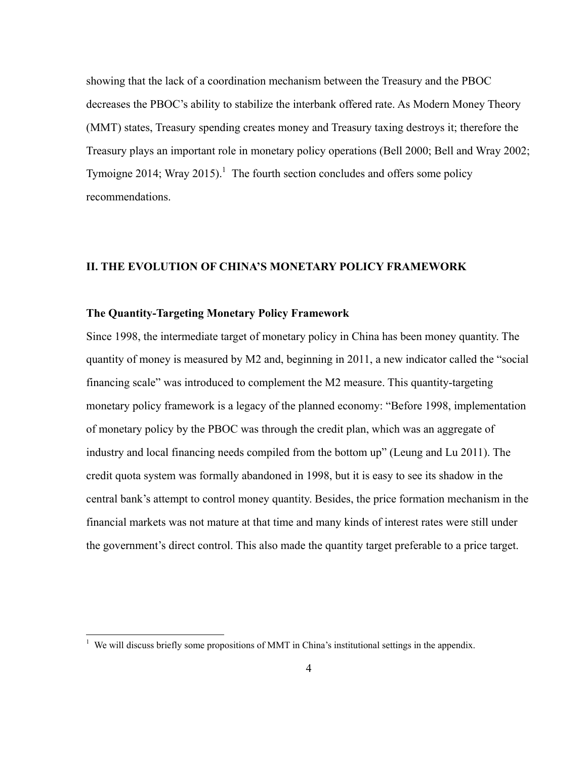showing that the lack of a coordination mechanism between the Treasury and the PBOC decreases the PBOC's ability to stabilize the interbank offered rate. As Modern Money Theory (MMT) states, Treasury spending creates money and Treasury taxing destroys it; therefore the Treasury plays an important role in monetary policy operations (Bell 2000; Bell and Wray 2002; Tymoigne 2014; Wray 2015).<sup>1</sup> The fourth section concludes and offers some policy recommendations.

## **II. THE EVOLUTION OF CHINA'S MONETARY POLICY FRAMEWORK**

## **The Quantity-Targeting Monetary Policy Framework**

Since 1998, the intermediate target of monetary policy in China has been money quantity. The quantity of money is measured by M2 and, beginning in 2011, a new indicator called the "social financing scale" was introduced to complement the M2 measure. This quantity-targeting monetary policy framework is a legacy of the planned economy: "Before 1998, implementation of monetary policy by the PBOC was through the credit plan, which was an aggregate of industry and local financing needs compiled from the bottom up" (Leung and Lu 2011). The credit quota system was formally abandoned in 1998, but it is easy to see its shadow in the central bank's attempt to control money quantity. Besides, the price formation mechanism in the financial markets was not mature at that time and many kinds of interest rates were still under the government's direct control. This also made the quantity target preferable to a price target.

<sup>&</sup>lt;sup>1</sup> We will discuss briefly some propositions of MMT in China's institutional settings in the appendix.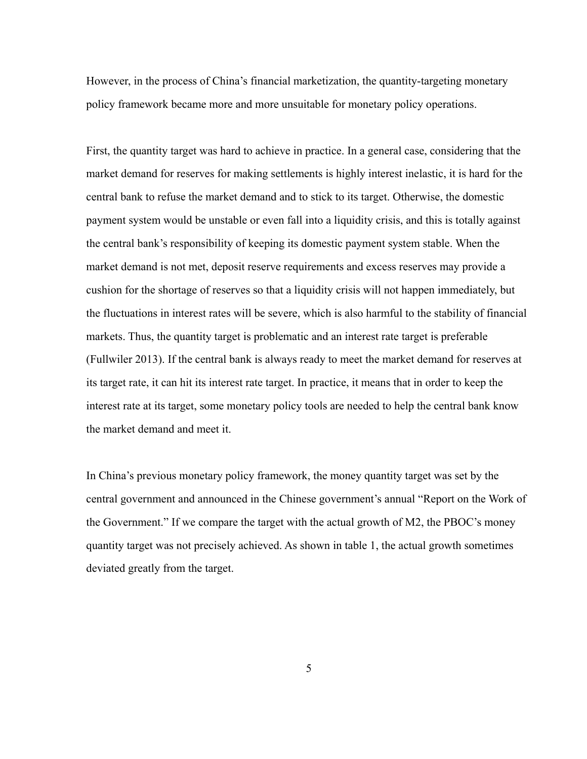However, in the process of China's financial marketization, the quantity-targeting monetary policy framework became more and more unsuitable for monetary policy operations.

First, the quantity target was hard to achieve in practice. In a general case, considering that the market demand for reserves for making settlements is highly interest inelastic, it is hard for the central bank to refuse the market demand and to stick to its target. Otherwise, the domestic payment system would be unstable or even fall into a liquidity crisis, and this is totally against the central bank's responsibility of keeping its domestic payment system stable. When the market demand is not met, deposit reserve requirements and excess reserves may provide a cushion for the shortage of reserves so that a liquidity crisis will not happen immediately, but the fluctuations in interest rates will be severe, which is also harmful to the stability of financial markets. Thus, the quantity target is problematic and an interest rate target is preferable (Fullwiler 2013). If the central bank is always ready to meet the market demand for reserves at its target rate, it can hit its interest rate target. In practice, it means that in order to keep the interest rate at its target, some monetary policy tools are needed to help the central bank know the market demand and meet it.

In China's previous monetary policy framework, the money quantity target was set by the central government and announced in the Chinese government's annual "Report on the Work of the Government." If we compare the target with the actual growth of M2, the PBOC's money quantity target was not precisely achieved. As shown in table 1, the actual growth sometimes deviated greatly from the target.

5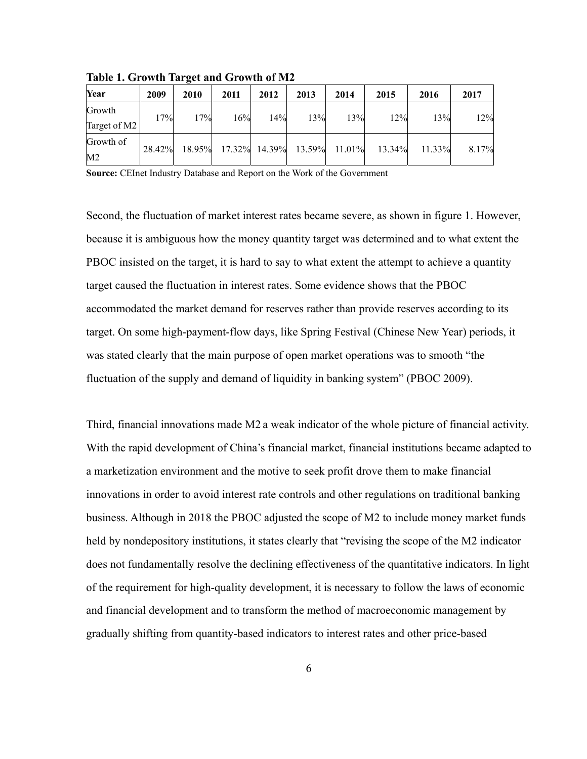| Year                        | 2009   | 2010   | 2011 | 2012 | 2013                 | 2014      | 2015   | 2016   | 2017  |
|-----------------------------|--------|--------|------|------|----------------------|-----------|--------|--------|-------|
| Growth                      | 17%    | 17%    | 16%  | 14%  | 13%                  | 13%       | 12%    | 13%    | 12%   |
| Target of M2                |        |        |      |      |                      |           |        |        |       |
| Growth of<br>M <sub>2</sub> | 28.42% | 18.95% |      |      | 17.32% 14.39% 13.59% | $11.01\%$ | 13.34% | 11.33% | 8.17% |

**Table 1. Growth Target and Growth of M2**

**Source:** CEInet Industry Database and Report on the Work of the Government

Second, the fluctuation of market interest rates became severe, as shown in figure 1. However, because it is ambiguous how the money quantity target was determined and to what extent the PBOC insisted on the target, it is hard to say to what extent the attempt to achieve a quantity target caused the fluctuation in interest rates. Some evidence shows that the PBOC accommodated the market demand for reserves rather than provide reserves according to its target. On some high-payment-flow days, like Spring Festival (Chinese New Year) periods, it was stated clearly that the main purpose of open market operations was to smooth "the fluctuation of the supply and demand of liquidity in banking system" (PBOC 2009).

Third, financial innovations made M2 a weak indicator of the whole picture of financial activity. With the rapid development of China's financial market, financial institutions became adapted to a marketization environment and the motive to seek profit drove them to make financial innovations in order to avoid interest rate controls and other regulations on traditional banking business. Although in 2018 the PBOC adjusted the scope of M2 to include money market funds held by nondepository institutions, it states clearly that "revising the scope of the M2 indicator does not fundamentally resolve the declining effectiveness of the quantitative indicators. In light of the requirement for high-quality development, it is necessary to follow the laws of economic and financial development and to transform the method of macroeconomic management by gradually shifting from quantity-based indicators to interest rates and other price-based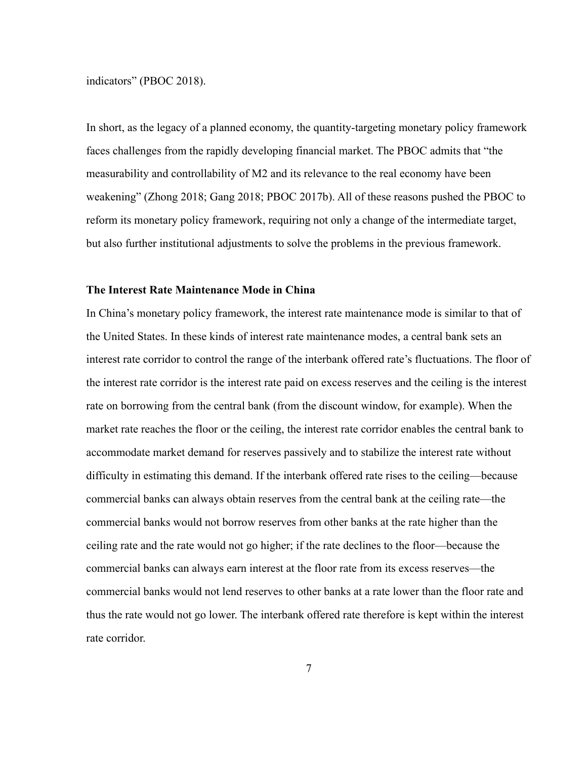#### indicators" (PBOC 2018).

In short, as the legacy of a planned economy, the quantity-targeting monetary policy framework faces challenges from the rapidly developing financial market. The PBOC admits that "the measurability and controllability of M2 and its relevance to the real economy have been weakening" (Zhong 2018; Gang 2018; PBOC 2017b). All of these reasons pushed the PBOC to reform its monetary policy framework, requiring not only a change of the intermediate target, but also further institutional adjustments to solve the problems in the previous framework.

## **The Interest Rate Maintenance Mode in China**

In China's monetary policy framework, the interest rate maintenance mode is similar to that of the United States. In these kinds of interest rate maintenance modes, a central bank sets an interest rate corridor to control the range of the interbank offered rate's fluctuations. The floor of the interest rate corridor is the interest rate paid on excess reserves and the ceiling is the interest rate on borrowing from the central bank (from the discount window, for example). When the market rate reaches the floor or the ceiling, the interest rate corridor enables the central bank to accommodate market demand for reserves passively and to stabilize the interest rate without difficulty in estimating this demand. If the interbank offered rate rises to the ceiling—because commercial banks can always obtain reserves from the central bank at the ceiling rate—the commercial banks would not borrow reserves from other banks at the rate higher than the ceiling rate and the rate would not go higher; if the rate declines to the floor—because the commercial banks can always earn interest at the floor rate from its excess reserves—the commercial banks would not lend reserves to other banks at a rate lower than the floor rate and thus the rate would not go lower. The interbank offered rate therefore is kept within the interest rate corridor.

7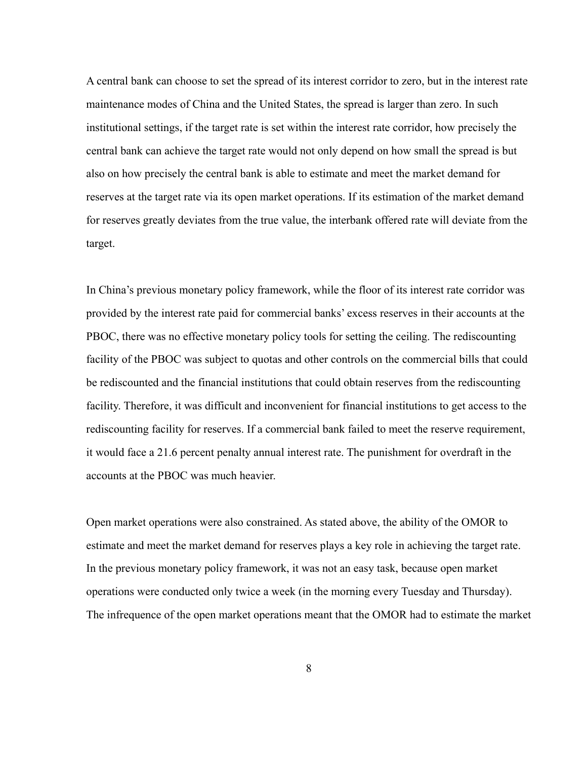A central bank can choose to set the spread of its interest corridor to zero, but in the interest rate maintenance modes of China and the United States, the spread is larger than zero. In such institutional settings, if the target rate is set within the interest rate corridor, how precisely the central bank can achieve the target rate would not only depend on how small the spread is but also on how precisely the central bank is able to estimate and meet the market demand for reserves at the target rate via its open market operations. If its estimation of the market demand for reserves greatly deviates from the true value, the interbank offered rate will deviate from the target.

In China's previous monetary policy framework, while the floor of its interest rate corridor was provided by the interest rate paid for commercial banks' excess reserves in their accounts at the PBOC, there was no effective monetary policy tools for setting the ceiling. The rediscounting facility of the PBOC was subject to quotas and other controls on the commercial bills that could be rediscounted and the financial institutions that could obtain reserves from the rediscounting facility. Therefore, it was difficult and inconvenient for financial institutions to get access to the rediscounting facility for reserves. If a commercial bank failed to meet the reserve requirement, it would face a 21.6 percent penalty annual interest rate. The punishment for overdraft in the accounts at the PBOC was much heavier.

Open market operations were also constrained. As stated above, the ability of the OMOR to estimate and meet the market demand for reserves plays a key role in achieving the target rate. In the previous monetary policy framework, it was not an easy task, because open market operations were conducted only twice a week (in the morning every Tuesday and Thursday). The infrequence of the open market operations meant that the OMOR had to estimate the market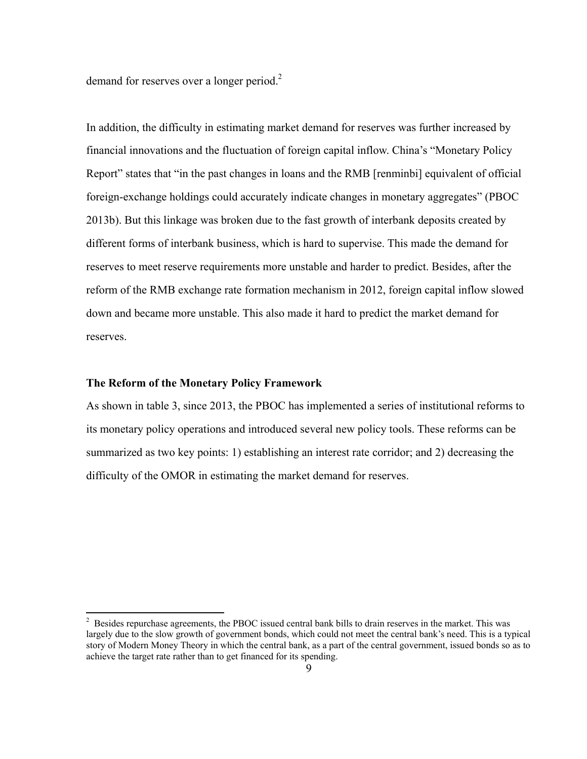demand for reserves over a longer period.<sup>2</sup>

In addition, the difficulty in estimating market demand for reserves was further increased by financial innovations and the fluctuation of foreign capital inflow. China's "Monetary Policy Report" states that "in the past changes in loans and the RMB [renminbi] equivalent of official foreign-exchange holdings could accurately indicate changes in monetary aggregates" (PBOC 2013b). But this linkage was broken due to the fast growth of interbank deposits created by different forms of interbank business, which is hard to supervise. This made the demand for reserves to meet reserve requirements more unstable and harder to predict. Besides, after the reform of the RMB exchange rate formation mechanism in 2012, foreign capital inflow slowed down and became more unstable. This also made it hard to predict the market demand for reserves.

## **The Reform of the Monetary Policy Framework**

As shown in table 3, since 2013, the PBOC has implemented a series of institutional reforms to its monetary policy operations and introduced several new policy tools. These reforms can be summarized as two key points: 1) establishing an interest rate corridor; and 2) decreasing the difficulty of the OMOR in estimating the market demand for reserves.

<sup>&</sup>lt;sup>2</sup> Besides repurchase agreements, the PBOC issued central bank bills to drain reserves in the market. This was largely due to the slow growth of government bonds, which could not meet the central bank's need. This is a typical story of Modern Money Theory in which the central bank, as a part of the central government, issued bonds so as to achieve the target rate rather than to get financed for its spending.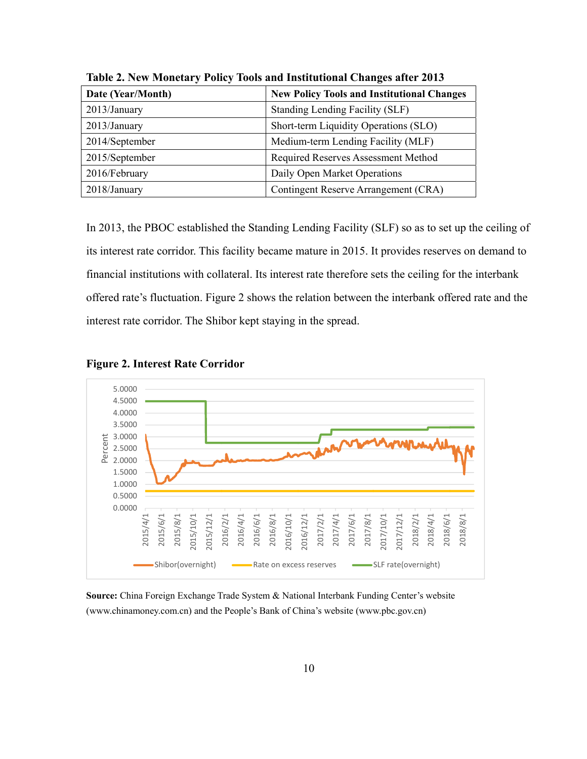| Date (Year/Month) | <b>New Policy Tools and Institutional Changes</b> |  |  |
|-------------------|---------------------------------------------------|--|--|
| 2013/January      | Standing Lending Facility (SLF)                   |  |  |
| 2013/January      | Short-term Liquidity Operations (SLO)             |  |  |
| 2014/September    | Medium-term Lending Facility (MLF)                |  |  |
| 2015/September    | Required Reserves Assessment Method               |  |  |
| 2016/February     | Daily Open Market Operations                      |  |  |
| 2018/January      | Contingent Reserve Arrangement (CRA)              |  |  |

**Table 2. New Monetary Policy Tools and Institutional Changes after 2013** 

In 2013, the PBOC established the Standing Lending Facility (SLF) so as to set up the ceiling of its interest rate corridor. This facility became mature in 2015. It provides reserves on demand to financial institutions with collateral. Its interest rate therefore sets the ceiling for the interbank offered rate's fluctuation. Figure 2 shows the relation between the interbank offered rate and the interest rate corridor. The Shibor kept staying in the spread.





**Source:** China Foreign Exchange Trade System & National Interbank Funding Center's website (www.chinamoney.com.cn) and the People's Bank of China's website (www.pbc.gov.cn)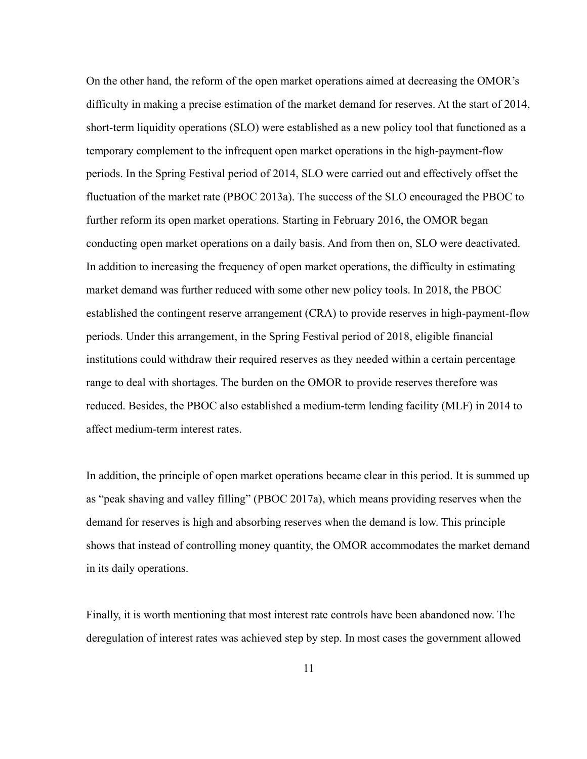On the other hand, the reform of the open market operations aimed at decreasing the OMOR's difficulty in making a precise estimation of the market demand for reserves. At the start of 2014, short-term liquidity operations (SLO) were established as a new policy tool that functioned as a temporary complement to the infrequent open market operations in the high-payment-flow periods. In the Spring Festival period of 2014, SLO were carried out and effectively offset the fluctuation of the market rate (PBOC 2013a). The success of the SLO encouraged the PBOC to further reform its open market operations. Starting in February 2016, the OMOR began conducting open market operations on a daily basis. And from then on, SLO were deactivated. In addition to increasing the frequency of open market operations, the difficulty in estimating market demand was further reduced with some other new policy tools. In 2018, the PBOC established the contingent reserve arrangement (CRA) to provide reserves in high-payment-flow periods. Under this arrangement, in the Spring Festival period of 2018, eligible financial institutions could withdraw their required reserves as they needed within a certain percentage range to deal with shortages. The burden on the OMOR to provide reserves therefore was reduced. Besides, the PBOC also established a medium-term lending facility (MLF) in 2014 to affect medium-term interest rates.

In addition, the principle of open market operations became clear in this period. It is summed up as "peak shaving and valley filling" (PBOC 2017a), which means providing reserves when the demand for reserves is high and absorbing reserves when the demand is low. This principle shows that instead of controlling money quantity, the OMOR accommodates the market demand in its daily operations.

Finally, it is worth mentioning that most interest rate controls have been abandoned now. The deregulation of interest rates was achieved step by step. In most cases the government allowed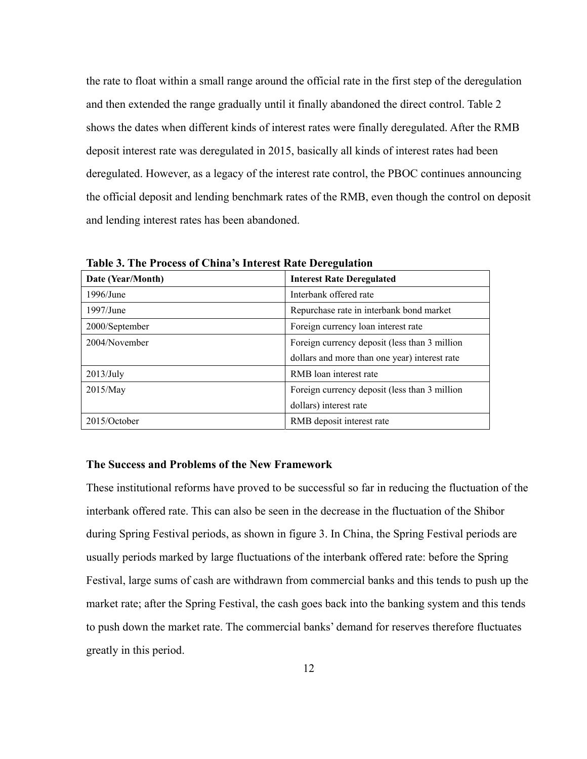the rate to float within a small range around the official rate in the first step of the deregulation and then extended the range gradually until it finally abandoned the direct control. Table 2 shows the dates when different kinds of interest rates were finally deregulated. After the RMB deposit interest rate was deregulated in 2015, basically all kinds of interest rates had been deregulated. However, as a legacy of the interest rate control, the PBOC continues announcing the official deposit and lending benchmark rates of the RMB, even though the control on deposit and lending interest rates has been abandoned.

| Date (Year/Month) | <b>Interest Rate Deregulated</b>              |  |  |
|-------------------|-----------------------------------------------|--|--|
| $1996$ /June      | Interbank offered rate                        |  |  |
| $1997$ /June      | Repurchase rate in interbank bond market      |  |  |
| 2000/September    | Foreign currency loan interest rate           |  |  |
| 2004/November     | Foreign currency deposit (less than 3 million |  |  |
|                   | dollars and more than one year) interest rate |  |  |
| 2013/July         | RMB loan interest rate                        |  |  |
| 2015/May          | Foreign currency deposit (less than 3 million |  |  |
|                   | dollars) interest rate                        |  |  |
| 2015/October      | RMB deposit interest rate                     |  |  |

**Table 3. The Process of China's Interest Rate Deregulation** 

## **The Success and Problems of the New Framework**

These institutional reforms have proved to be successful so far in reducing the fluctuation of the interbank offered rate. This can also be seen in the decrease in the fluctuation of the Shibor during Spring Festival periods, as shown in figure 3. In China, the Spring Festival periods are usually periods marked by large fluctuations of the interbank offered rate: before the Spring Festival, large sums of cash are withdrawn from commercial banks and this tends to push up the market rate; after the Spring Festival, the cash goes back into the banking system and this tends to push down the market rate. The commercial banks' demand for reserves therefore fluctuates greatly in this period.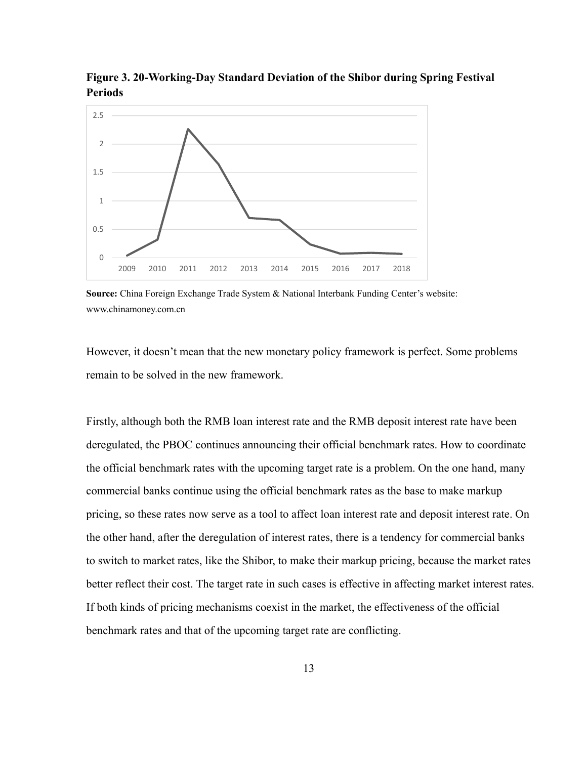

**Figure 3. 20-Working-Day Standard Deviation of the Shibor during Spring Festival** 

**Source:** China Foreign Exchange Trade System & National Interbank Funding Center's website: www.chinamoney.com.cn

2009 2010 2011 2012 2013 2014 2015 2016 2017 2018

 $\Omega$ 

0.5

1

1.5

However, it doesn't mean that the new monetary policy framework is perfect. Some problems remain to be solved in the new framework.

Firstly, although both the RMB loan interest rate and the RMB deposit interest rate have been deregulated, the PBOC continues announcing their official benchmark rates. How to coordinate the official benchmark rates with the upcoming target rate is a problem. On the one hand, many commercial banks continue using the official benchmark rates as the base to make markup pricing, so these rates now serve as a tool to affect loan interest rate and deposit interest rate. On the other hand, after the deregulation of interest rates, there is a tendency for commercial banks to switch to market rates, like the Shibor, to make their markup pricing, because the market rates better reflect their cost. The target rate in such cases is effective in affecting market interest rates. If both kinds of pricing mechanisms coexist in the market, the effectiveness of the official benchmark rates and that of the upcoming target rate are conflicting.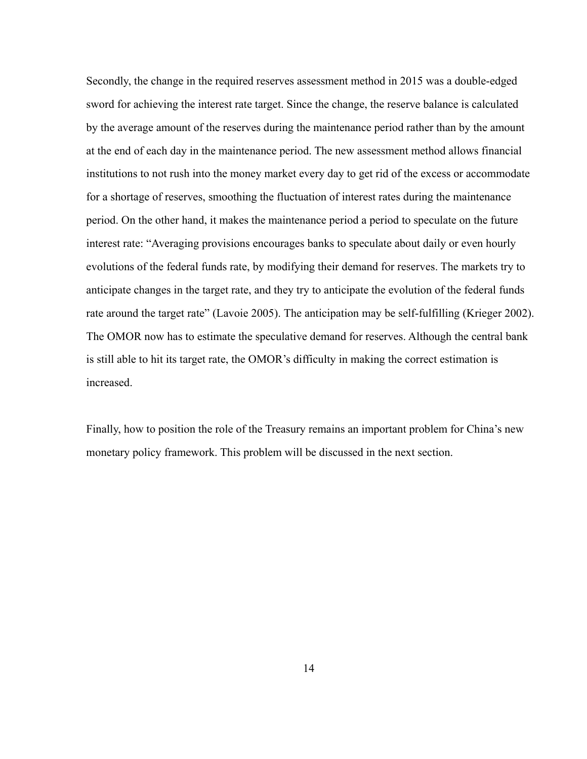Secondly, the change in the required reserves assessment method in 2015 was a double-edged sword for achieving the interest rate target. Since the change, the reserve balance is calculated by the average amount of the reserves during the maintenance period rather than by the amount at the end of each day in the maintenance period. The new assessment method allows financial institutions to not rush into the money market every day to get rid of the excess or accommodate for a shortage of reserves, smoothing the fluctuation of interest rates during the maintenance period. On the other hand, it makes the maintenance period a period to speculate on the future interest rate: "Averaging provisions encourages banks to speculate about daily or even hourly evolutions of the federal funds rate, by modifying their demand for reserves. The markets try to anticipate changes in the target rate, and they try to anticipate the evolution of the federal funds rate around the target rate" (Lavoie 2005). The anticipation may be self-fulfilling (Krieger 2002). The OMOR now has to estimate the speculative demand for reserves. Although the central bank is still able to hit its target rate, the OMOR's difficulty in making the correct estimation is increased.

Finally, how to position the role of the Treasury remains an important problem for China's new monetary policy framework. This problem will be discussed in the next section.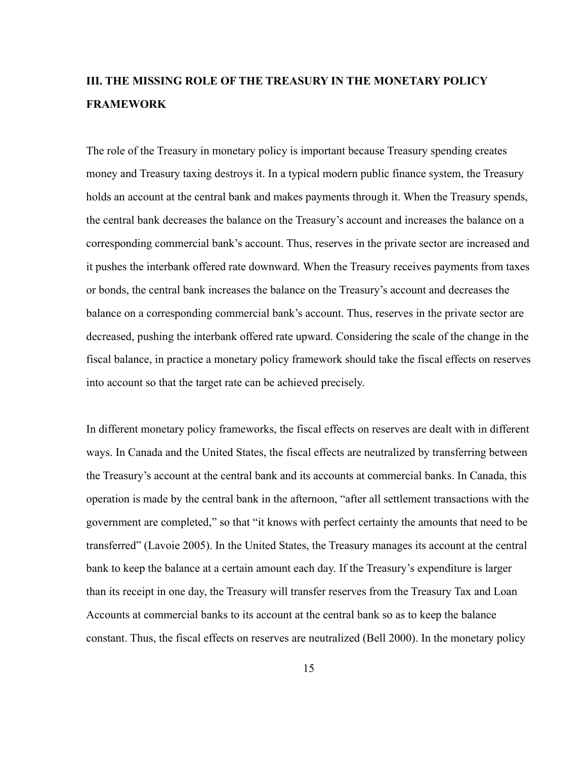# **III. THE MISSING ROLE OF THE TREASURY IN THE MONETARY POLICY FRAMEWORK**

The role of the Treasury in monetary policy is important because Treasury spending creates money and Treasury taxing destroys it. In a typical modern public finance system, the Treasury holds an account at the central bank and makes payments through it. When the Treasury spends, the central bank decreases the balance on the Treasury's account and increases the balance on a corresponding commercial bank's account. Thus, reserves in the private sector are increased and it pushes the interbank offered rate downward. When the Treasury receives payments from taxes or bonds, the central bank increases the balance on the Treasury's account and decreases the balance on a corresponding commercial bank's account. Thus, reserves in the private sector are decreased, pushing the interbank offered rate upward. Considering the scale of the change in the fiscal balance, in practice a monetary policy framework should take the fiscal effects on reserves into account so that the target rate can be achieved precisely.

In different monetary policy frameworks, the fiscal effects on reserves are dealt with in different ways. In Canada and the United States, the fiscal effects are neutralized by transferring between the Treasury's account at the central bank and its accounts at commercial banks. In Canada, this operation is made by the central bank in the afternoon, "after all settlement transactions with the government are completed," so that "it knows with perfect certainty the amounts that need to be transferred" (Lavoie 2005). In the United States, the Treasury manages its account at the central bank to keep the balance at a certain amount each day. If the Treasury's expenditure is larger than its receipt in one day, the Treasury will transfer reserves from the Treasury Tax and Loan Accounts at commercial banks to its account at the central bank so as to keep the balance constant. Thus, the fiscal effects on reserves are neutralized (Bell 2000). In the monetary policy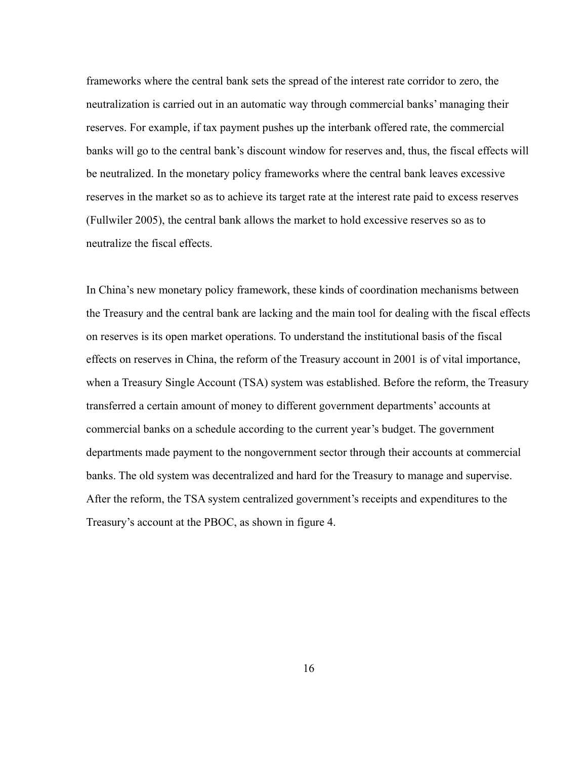frameworks where the central bank sets the spread of the interest rate corridor to zero, the neutralization is carried out in an automatic way through commercial banks' managing their reserves. For example, if tax payment pushes up the interbank offered rate, the commercial banks will go to the central bank's discount window for reserves and, thus, the fiscal effects will be neutralized. In the monetary policy frameworks where the central bank leaves excessive reserves in the market so as to achieve its target rate at the interest rate paid to excess reserves (Fullwiler 2005), the central bank allows the market to hold excessive reserves so as to neutralize the fiscal effects.

In China's new monetary policy framework, these kinds of coordination mechanisms between the Treasury and the central bank are lacking and the main tool for dealing with the fiscal effects on reserves is its open market operations. To understand the institutional basis of the fiscal effects on reserves in China, the reform of the Treasury account in 2001 is of vital importance, when a Treasury Single Account (TSA) system was established. Before the reform, the Treasury transferred a certain amount of money to different government departments' accounts at commercial banks on a schedule according to the current year's budget. The government departments made payment to the nongovernment sector through their accounts at commercial banks. The old system was decentralized and hard for the Treasury to manage and supervise. After the reform, the TSA system centralized government's receipts and expenditures to the Treasury's account at the PBOC, as shown in figure 4.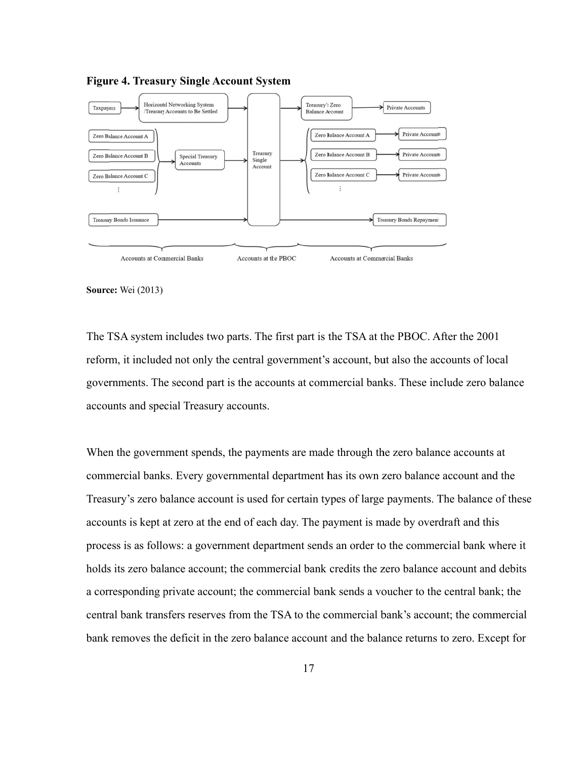



**Source:** Wei (2013)

The TSA system includes two parts. The first part is the TSA at the PBOC. After the 2001 reform, it included not only the central government's account, but also the accounts of local governments. The second part is the accounts at commercial banks. These include zero balance accounts and special Treasury accounts.

When the government spends, the payments are made through the zero balance accounts at commercial banks. Every governmental department has its own zero balance account and the Treasury's zero balance account is used for certain types of large payments. The balance of these accounts is kept at zero at the end of each day. The payment is made by overdraft and this process is as follows: a government department sends an order to the commercial bank where it holds its zero balance account; the commercial bank credits the zero balance account and debits a corresponding private account; the commercial bank sends a voucher to the central bank; the central bank transfers reserves from the TSA to the commercial bank's account; the commercial bank removes the deficit in the zero balance account and the balance returns to zero. Except for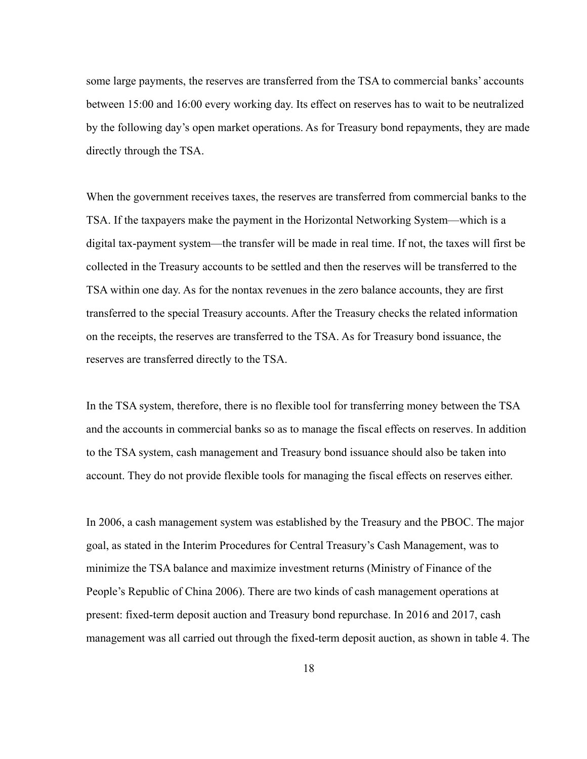some large payments, the reserves are transferred from the TSA to commercial banks' accounts between 15:00 and 16:00 every working day. Its effect on reserves has to wait to be neutralized by the following day's open market operations. As for Treasury bond repayments, they are made directly through the TSA.

When the government receives taxes, the reserves are transferred from commercial banks to the TSA. If the taxpayers make the payment in the Horizontal Networking System—which is a digital tax-payment system—the transfer will be made in real time. If not, the taxes will first be collected in the Treasury accounts to be settled and then the reserves will be transferred to the TSA within one day. As for the nontax revenues in the zero balance accounts, they are first transferred to the special Treasury accounts. After the Treasury checks the related information on the receipts, the reserves are transferred to the TSA. As for Treasury bond issuance, the reserves are transferred directly to the TSA.

In the TSA system, therefore, there is no flexible tool for transferring money between the TSA and the accounts in commercial banks so as to manage the fiscal effects on reserves. In addition to the TSA system, cash management and Treasury bond issuance should also be taken into account. They do not provide flexible tools for managing the fiscal effects on reserves either.

In 2006, a cash management system was established by the Treasury and the PBOC. The major goal, as stated in the Interim Procedures for Central Treasury's Cash Management, was to minimize the TSA balance and maximize investment returns (Ministry of Finance of the People's Republic of China 2006). There are two kinds of cash management operations at present: fixed-term deposit auction and Treasury bond repurchase. In 2016 and 2017, cash management was all carried out through the fixed-term deposit auction, as shown in table 4. The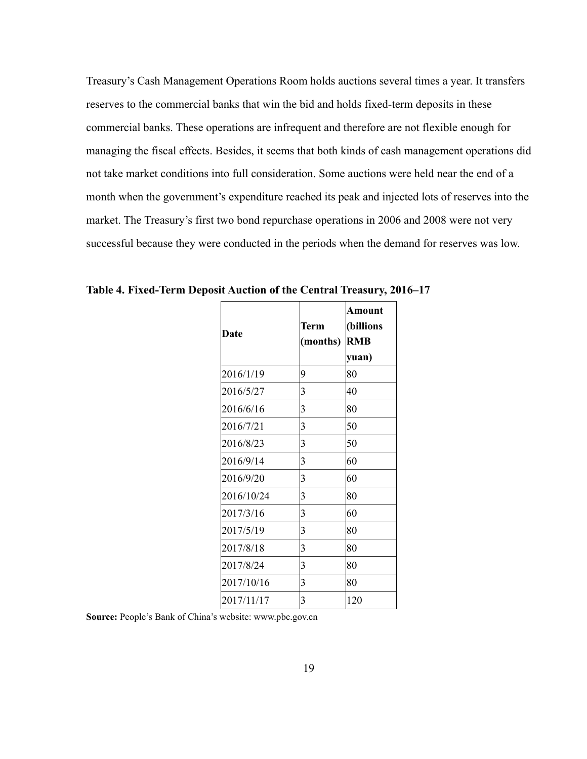Treasury's Cash Management Operations Room holds auctions several times a year. It transfers reserves to the commercial banks that win the bid and holds fixed-term deposits in these commercial banks. These operations are infrequent and therefore are not flexible enough for managing the fiscal effects. Besides, it seems that both kinds of cash management operations did not take market conditions into full consideration. Some auctions were held near the end of a month when the government's expenditure reached its peak and injected lots of reserves into the market. The Treasury's first two bond repurchase operations in 2006 and 2008 were not very successful because they were conducted in the periods when the demand for reserves was low.

| Date       | Term<br>(months) | Amount<br>(billions<br><b>RMB</b><br>yuan) |
|------------|------------------|--------------------------------------------|
| 2016/1/19  | 9                | 80                                         |
| 2016/5/27  | 3                | 40                                         |
| 2016/6/16  | 3                | 80                                         |
| 2016/7/21  | 3                | 50                                         |
| 2016/8/23  | 3                | 50                                         |
| 2016/9/14  | 3                | 60                                         |
| 2016/9/20  | 3                | 60                                         |
| 2016/10/24 | 3                | 80                                         |
| 2017/3/16  | 3                | 60                                         |
| 2017/5/19  | 3                | 80                                         |
| 2017/8/18  | 3                | 80                                         |
| 2017/8/24  | 3                | 80                                         |
| 2017/10/16 | 3                | 80                                         |
| 2017/11/17 | 3                | 120                                        |

**Table 4. Fixed-Term Deposit Auction of the Central Treasury, 2016–17** 

**Source:** People's Bank of China's website: www.pbc.gov.cn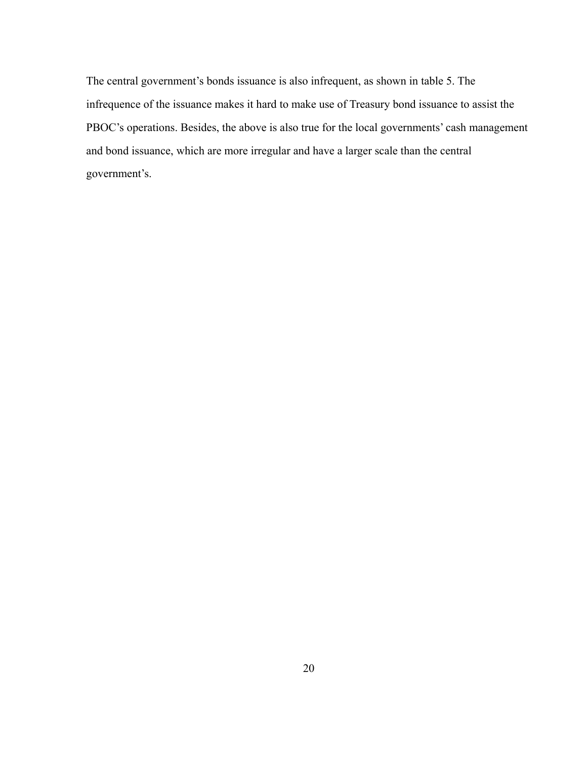The central government's bonds issuance is also infrequent, as shown in table 5. The infrequence of the issuance makes it hard to make use of Treasury bond issuance to assist the PBOC's operations. Besides, the above is also true for the local governments' cash management and bond issuance, which are more irregular and have a larger scale than the central government's.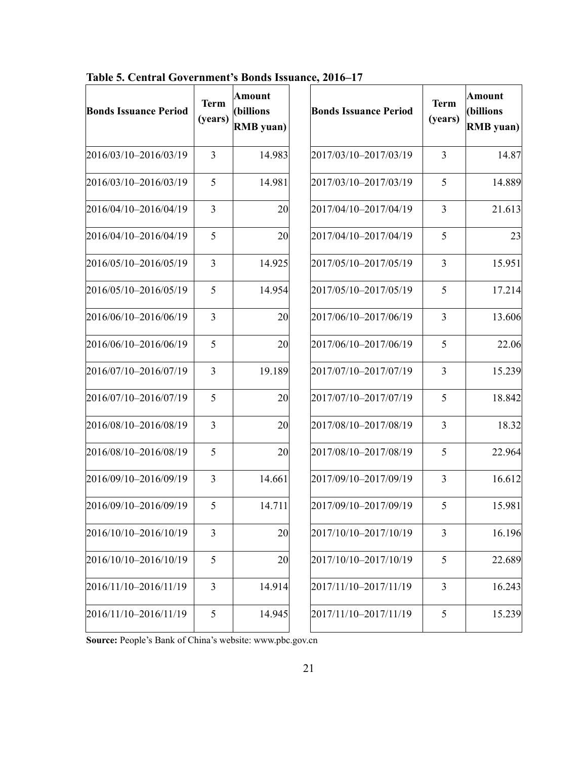| <b>Bonds Issuance Period</b> | (years)        | (billions<br><b>RMB</b> yuan) | <b>Bonds Issuance Period</b> | <b>Term</b><br>(years) | <b>Amount</b><br>(billions<br><b>RMB</b> yuan) |  |
|------------------------------|----------------|-------------------------------|------------------------------|------------------------|------------------------------------------------|--|
| 2016/03/10-2016/03/19        | 3              | 14.983                        | 2017/03/10-2017/03/19        | $\overline{3}$         | 14.87                                          |  |
| 2016/03/10-2016/03/19        | 5              | 14.981                        | 2017/03/10-2017/03/19        | 5                      | 14.889                                         |  |
| 2016/04/10-2016/04/19        | 3              | 20                            | 2017/04/10-2017/04/19        | $\overline{3}$         | 21.613                                         |  |
| 2016/04/10-2016/04/19        | 5              | 20                            | 2017/04/10-2017/04/19        | 5                      | 23                                             |  |
| 2016/05/10-2016/05/19        | $\overline{3}$ | 14.925                        | 2017/05/10-2017/05/19        | $\overline{3}$         | 15.951                                         |  |
| 2016/05/10-2016/05/19        | 5              | 14.954                        | 2017/05/10-2017/05/19        | 5                      | 17.214                                         |  |
| 2016/06/10-2016/06/19        | $\overline{3}$ | 20                            | 2017/06/10-2017/06/19        | $\overline{3}$         | 13.606                                         |  |
| 2016/06/10-2016/06/19        | 5              | 20                            | 2017/06/10-2017/06/19        | 5                      | 22.06                                          |  |
| 2016/07/10-2016/07/19        | $\overline{3}$ | 19.189                        | 2017/07/10-2017/07/19        | $\overline{3}$         | 15.239                                         |  |
| 2016/07/10-2016/07/19        | 5              | 20                            | 2017/07/10-2017/07/19        | 5                      | 18.842                                         |  |
| 2016/08/10-2016/08/19        | $\overline{3}$ | 20                            | 2017/08/10-2017/08/19        | $\overline{3}$         | 18.32                                          |  |
| 2016/08/10-2016/08/19        | 5              | 20                            | 2017/08/10-2017/08/19        | 5                      | 22.964                                         |  |
| 2016/09/10-2016/09/19        | $\overline{3}$ | 14.661                        | 2017/09/10-2017/09/19        | $\overline{3}$         | 16.612                                         |  |
| 2016/09/10-2016/09/19        | 5              | 14.711                        | 2017/09/10-2017/09/19        | 5                      | 15.981                                         |  |
| 2016/10/10-2016/10/19        | 3              | 20                            | 2017/10/10-2017/10/19        | $\overline{3}$         | 16.196                                         |  |
| 2016/10/10-2016/10/19        | 5              | 20                            | 2017/10/10-2017/10/19        | 5                      | 22.689                                         |  |
| 2016/11/10-2016/11/19        | 3              | 14.914                        | 2017/11/10-2017/11/19        | $\overline{3}$         | 16.243                                         |  |
| 2016/11/10-2016/11/19        | 5              | 14.945                        | 2017/11/10-2017/11/19        | 5                      | 15.239                                         |  |

**Table 5. Central Government's Bonds Issuance, 2016–17** 

**Source:** People's Bank of China's website: www.pbc.gov.cn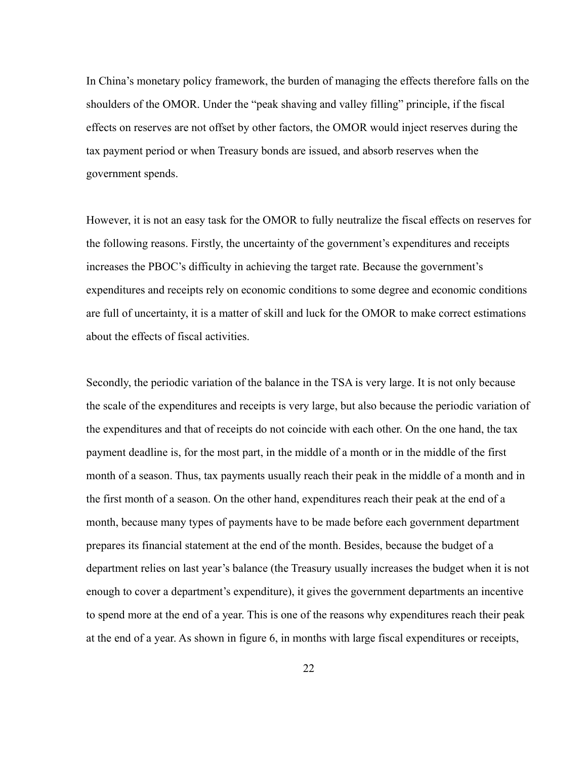In China's monetary policy framework, the burden of managing the effects therefore falls on the shoulders of the OMOR. Under the "peak shaving and valley filling" principle, if the fiscal effects on reserves are not offset by other factors, the OMOR would inject reserves during the tax payment period or when Treasury bonds are issued, and absorb reserves when the government spends.

However, it is not an easy task for the OMOR to fully neutralize the fiscal effects on reserves for the following reasons. Firstly, the uncertainty of the government's expenditures and receipts increases the PBOC's difficulty in achieving the target rate. Because the government's expenditures and receipts rely on economic conditions to some degree and economic conditions are full of uncertainty, it is a matter of skill and luck for the OMOR to make correct estimations about the effects of fiscal activities.

Secondly, the periodic variation of the balance in the TSA is very large. It is not only because the scale of the expenditures and receipts is very large, but also because the periodic variation of the expenditures and that of receipts do not coincide with each other. On the one hand, the tax payment deadline is, for the most part, in the middle of a month or in the middle of the first month of a season. Thus, tax payments usually reach their peak in the middle of a month and in the first month of a season. On the other hand, expenditures reach their peak at the end of a month, because many types of payments have to be made before each government department prepares its financial statement at the end of the month. Besides, because the budget of a department relies on last year's balance (the Treasury usually increases the budget when it is not enough to cover a department's expenditure), it gives the government departments an incentive to spend more at the end of a year. This is one of the reasons why expenditures reach their peak at the end of a year. As shown in figure 6, in months with large fiscal expenditures or receipts,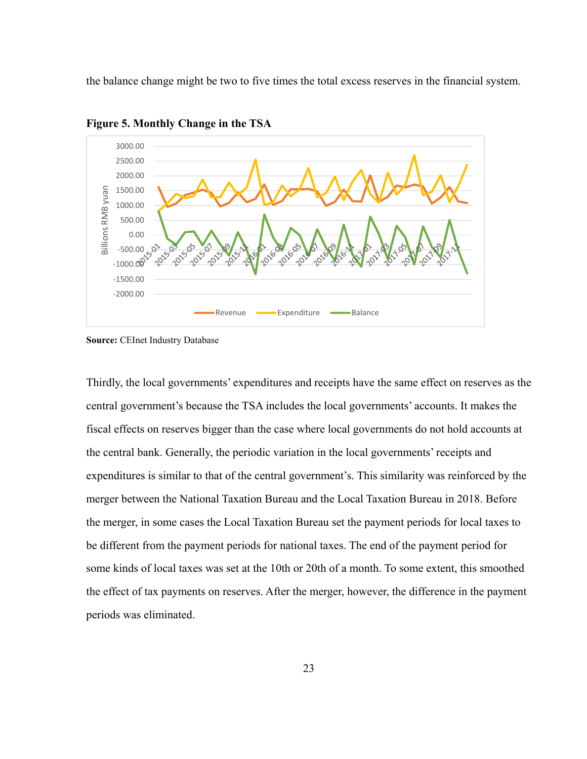the balance change might be two to five times the total excess reserves in the financial system.



**Figure 5. Monthly Change in the TSA** 

Thirdly, the local governments' expenditures and receipts have the same effect on reserves as the central government's because the TSA includes the local governments' accounts. It makes the fiscal effects on reserves bigger than the case where local governments do not hold accounts at the central bank. Generally, the periodic variation in the local governments' receipts and expenditures is similar to that of the central government's. This similarity was reinforced by the merger between the National Taxation Bureau and the Local Taxation Bureau in 2018. Before the merger, in some cases the Local Taxation Bureau set the payment periods for local taxes to be different from the payment periods for national taxes. The end of the payment period for some kinds of local taxes was set at the 10th or 20th of a month. To some extent, this smoothed the effect of tax payments on reserves. After the merger, however, the difference in the payment periods was eliminated.

**Source:** CEInet Industry Database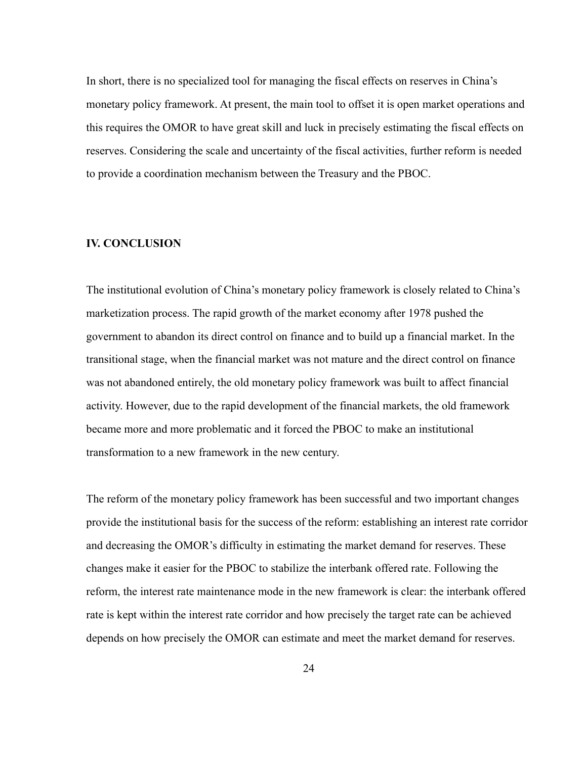In short, there is no specialized tool for managing the fiscal effects on reserves in China's monetary policy framework. At present, the main tool to offset it is open market operations and this requires the OMOR to have great skill and luck in precisely estimating the fiscal effects on reserves. Considering the scale and uncertainty of the fiscal activities, further reform is needed to provide a coordination mechanism between the Treasury and the PBOC.

## **IV. CONCLUSION**

The institutional evolution of China's monetary policy framework is closely related to China's marketization process. The rapid growth of the market economy after 1978 pushed the government to abandon its direct control on finance and to build up a financial market. In the transitional stage, when the financial market was not mature and the direct control on finance was not abandoned entirely, the old monetary policy framework was built to affect financial activity. However, due to the rapid development of the financial markets, the old framework became more and more problematic and it forced the PBOC to make an institutional transformation to a new framework in the new century.

The reform of the monetary policy framework has been successful and two important changes provide the institutional basis for the success of the reform: establishing an interest rate corridor and decreasing the OMOR's difficulty in estimating the market demand for reserves. These changes make it easier for the PBOC to stabilize the interbank offered rate. Following the reform, the interest rate maintenance mode in the new framework is clear: the interbank offered rate is kept within the interest rate corridor and how precisely the target rate can be achieved depends on how precisely the OMOR can estimate and meet the market demand for reserves.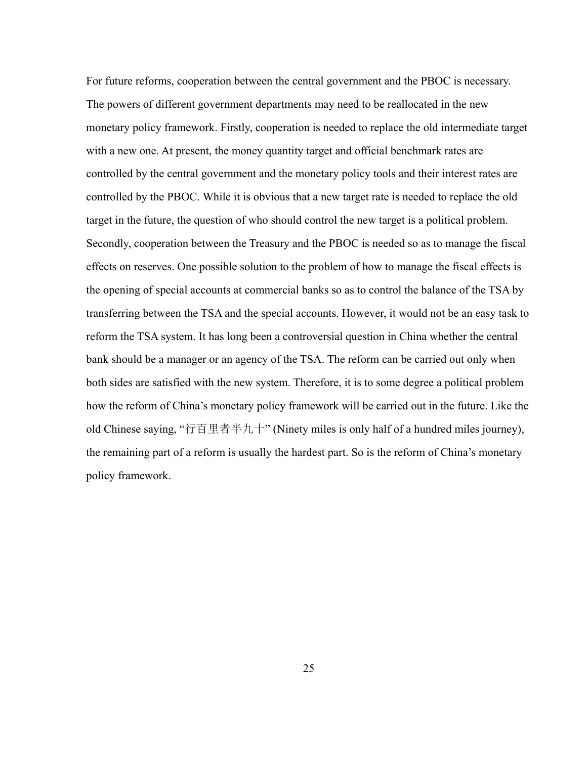For future reforms, cooperation between the central government and the PBOC is necessary. The powers of different government departments may need to be reallocated in the new monetary policy framework. Firstly, cooperation is needed to replace the old intermediate target with a new one. At present, the money quantity target and official benchmark rates are controlled by the central government and the monetary policy tools and their interest rates are controlled by the PBOC. While it is obvious that a new target rate is needed to replace the old target in the future, the question of who should control the new target is a political problem. Secondly, cooperation between the Treasury and the PBOC is needed so as to manage the fiscal effects on reserves. One possible solution to the problem of how to manage the fiscal effects is the opening of special accounts at commercial banks so as to control the balance of the TSA by transferring between the TSA and the special accounts. However, it would not be an easy task to reform the TSA system. It has long been a controversial question in China whether the central bank should be a manager or an agency of the TSA. The reform can be carried out only when both sides are satisfied with the new system. Therefore, it is to some degree a political problem how the reform of China's monetary policy framework will be carried out in the future. Like the old Chinese saying, "行百里者半九十" (Ninety miles is only half of a hundred miles journey), the remaining part of a reform is usually the hardest part. So is the reform of China's monetary policy framework.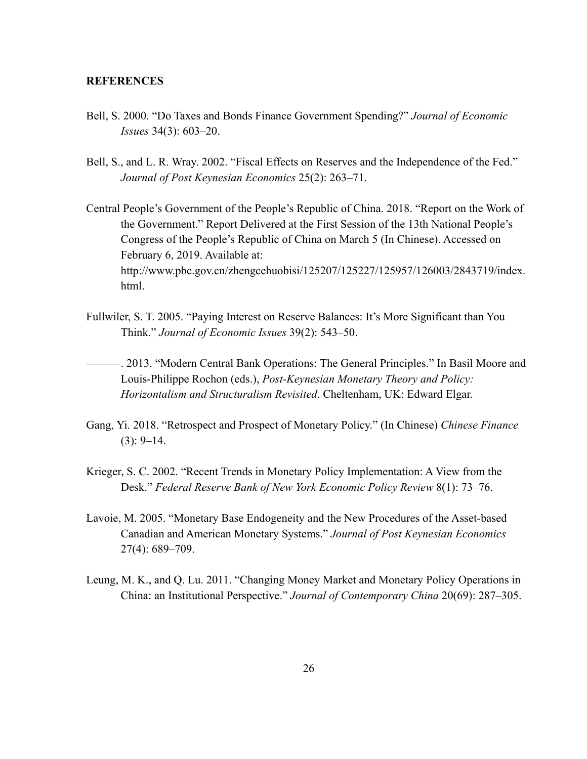### **REFERENCES**

- Bell, S. 2000. "Do Taxes and Bonds Finance Government Spending?" *Journal of Economic Issues* 34(3): 603–20.
- Bell, S., and L. R. Wray. 2002. "Fiscal Effects on Reserves and the Independence of the Fed." *Journal of Post Keynesian Economics* 25(2): 263–71.
- Central People's Government of the People's Republic of China. 2018. "Report on the Work of the Government." Report Delivered at the First Session of the 13th National People's Congress of the People's Republic of China on March 5 (In Chinese). Accessed on February 6, 2019. Available at: http://www.pbc.gov.cn/zhengcehuobisi/125207/125227/125957/126003/2843719/index. html.
- Fullwiler, S. T. 2005. "Paying Interest on Reserve Balances: It's More Significant than You Think." *Journal of Economic Issues* 39(2): 543–50.
	- ———. 2013. "Modern Central Bank Operations: The General Principles." In Basil Moore and Louis-Philippe Rochon (eds.), *Post-Keynesian Monetary Theory and Policy: Horizontalism and Structuralism Revisited*. Cheltenham, UK: Edward Elgar.
- Gang, Yi. 2018. "Retrospect and Prospect of Monetary Policy." (In Chinese) *Chinese Finance*  $(3): 9-14.$
- Krieger, S. C. 2002. "Recent Trends in Monetary Policy Implementation: A View from the Desk." *Federal Reserve Bank of New York Economic Policy Review* 8(1): 73–76.
- Lavoie, M. 2005. "Monetary Base Endogeneity and the New Procedures of the Asset-based Canadian and American Monetary Systems." *Journal of Post Keynesian Economics* 27(4): 689–709.
- Leung, M. K., and Q. Lu. 2011. "Changing Money Market and Monetary Policy Operations in China: an Institutional Perspective." *Journal of Contemporary China* 20(69): 287–305.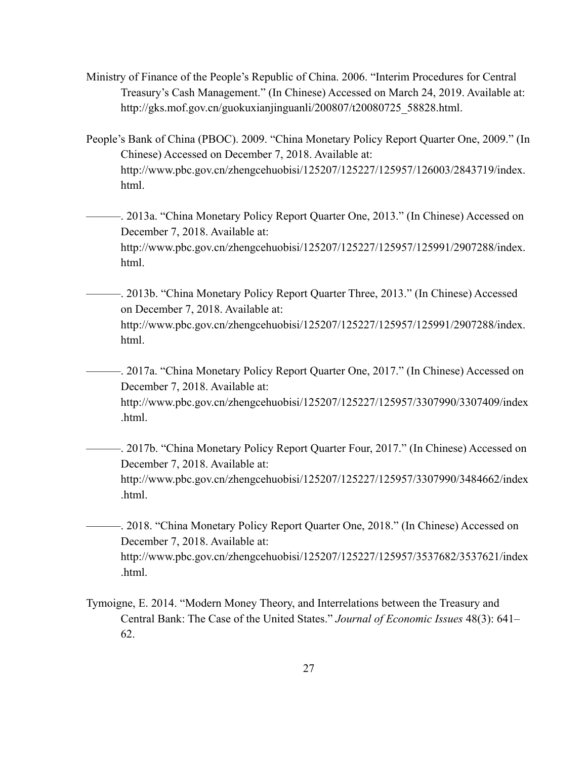- Ministry of Finance of the People's Republic of China. 2006. "Interim Procedures for Central Treasury's Cash Management." (In Chinese) Accessed on March 24, 2019. Available at: http://gks.mof.gov.cn/guokuxianjinguanli/200807/t20080725\_58828.html.
- People's Bank of China (PBOC). 2009. "China Monetary Policy Report Quarter One, 2009." (In Chinese) Accessed on December 7, 2018. Available at: http://www.pbc.gov.cn/zhengcehuobisi/125207/125227/125957/126003/2843719/index. html.

———. 2013a. "China Monetary Policy Report Quarter One, 2013." (In Chinese) Accessed on December 7, 2018. Available at: http://www.pbc.gov.cn/zhengcehuobisi/125207/125227/125957/125991/2907288/index. html.

———. 2013b. "China Monetary Policy Report Quarter Three, 2013." (In Chinese) Accessed on December 7, 2018. Available at: http://www.pbc.gov.cn/zhengcehuobisi/125207/125227/125957/125991/2907288/index. html.

———. 2017a. "China Monetary Policy Report Quarter One, 2017." (In Chinese) Accessed on December 7, 2018. Available at: http://www.pbc.gov.cn/zhengcehuobisi/125207/125227/125957/3307990/3307409/index .html.

———. 2017b. "China Monetary Policy Report Quarter Four, 2017." (In Chinese) Accessed on December 7, 2018. Available at: http://www.pbc.gov.cn/zhengcehuobisi/125207/125227/125957/3307990/3484662/index .html.

- ———. 2018. "China Monetary Policy Report Quarter One, 2018." (In Chinese) Accessed on December 7, 2018. Available at: http://www.pbc.gov.cn/zhengcehuobisi/125207/125227/125957/3537682/3537621/index .html.
- Tymoigne, E. 2014. "Modern Money Theory, and Interrelations between the Treasury and Central Bank: The Case of the United States." *Journal of Economic Issues* 48(3): 641– 62.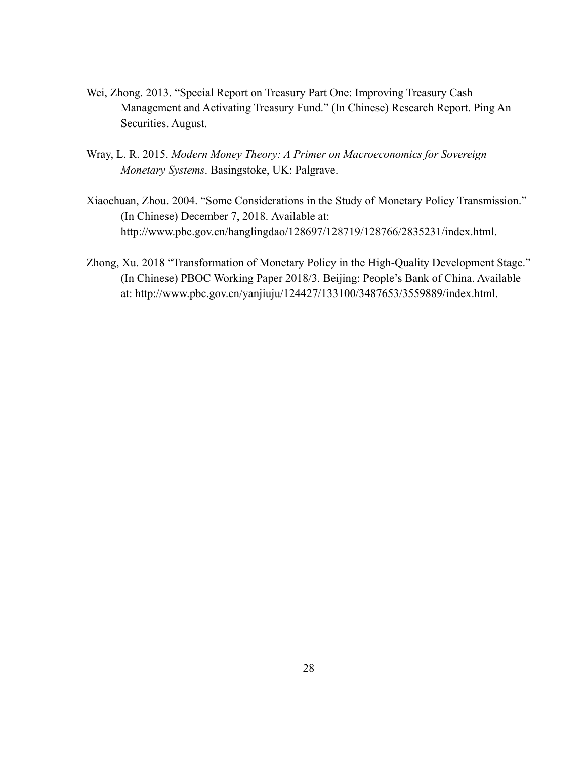- Wei, Zhong. 2013. "Special Report on Treasury Part One: Improving Treasury Cash Management and Activating Treasury Fund." (In Chinese) Research Report. Ping An Securities. August.
- Wray, L. R. 2015. *Modern Money Theory: A Primer on Macroeconomics for Sovereign Monetary Systems*. Basingstoke, UK: Palgrave.
- Xiaochuan, Zhou. 2004. "Some Considerations in the Study of Monetary Policy Transmission." (In Chinese) December 7, 2018. Available at: http://www.pbc.gov.cn/hanglingdao/128697/128719/128766/2835231/index.html.
- Zhong, Xu. 2018 "Transformation of Monetary Policy in the High-Quality Development Stage." (In Chinese) PBOC Working Paper 2018/3. Beijing: People's Bank of China. Available at: http://www.pbc.gov.cn/yanjiuju/124427/133100/3487653/3559889/index.html.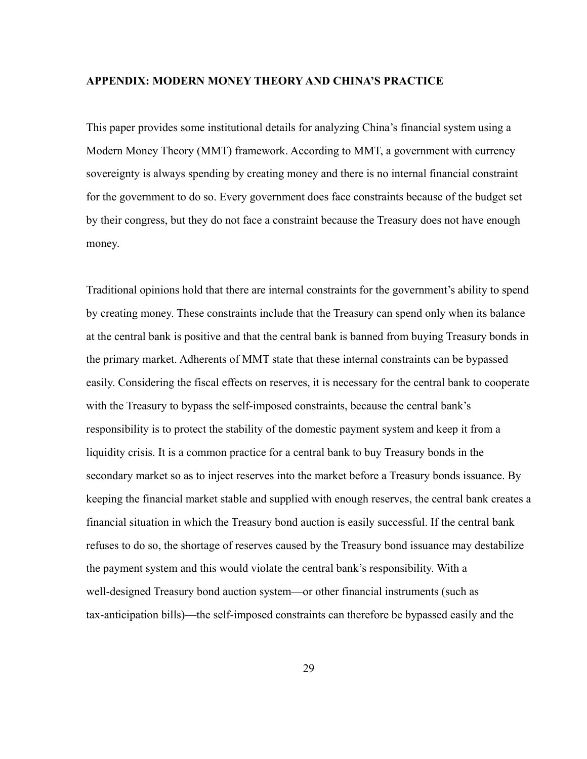#### **APPENDIX: MODERN MONEY THEORY AND CHINA'S PRACTICE**

This paper provides some institutional details for analyzing China's financial system using a Modern Money Theory (MMT) framework. According to MMT, a government with currency sovereignty is always spending by creating money and there is no internal financial constraint for the government to do so. Every government does face constraints because of the budget set by their congress, but they do not face a constraint because the Treasury does not have enough money.

Traditional opinions hold that there are internal constraints for the government's ability to spend by creating money. These constraints include that the Treasury can spend only when its balance at the central bank is positive and that the central bank is banned from buying Treasury bonds in the primary market. Adherents of MMT state that these internal constraints can be bypassed easily. Considering the fiscal effects on reserves, it is necessary for the central bank to cooperate with the Treasury to bypass the self-imposed constraints, because the central bank's responsibility is to protect the stability of the domestic payment system and keep it from a liquidity crisis. It is a common practice for a central bank to buy Treasury bonds in the secondary market so as to inject reserves into the market before a Treasury bonds issuance. By keeping the financial market stable and supplied with enough reserves, the central bank creates a financial situation in which the Treasury bond auction is easily successful. If the central bank refuses to do so, the shortage of reserves caused by the Treasury bond issuance may destabilize the payment system and this would violate the central bank's responsibility. With a well-designed Treasury bond auction system—or other financial instruments (such as tax-anticipation bills)—the self-imposed constraints can therefore be bypassed easily and the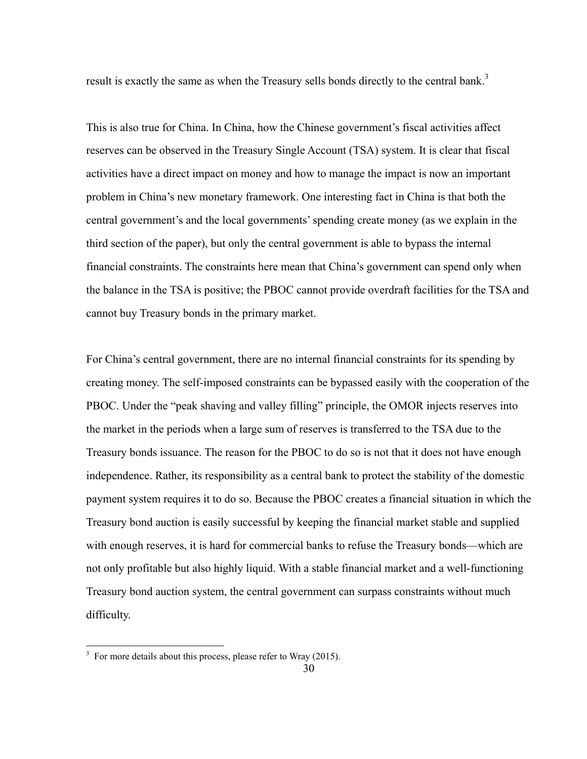result is exactly the same as when the Treasury sells bonds directly to the central bank.<sup>3</sup>

This is also true for China. In China, how the Chinese government's fiscal activities affect reserves can be observed in the Treasury Single Account (TSA) system. It is clear that fiscal activities have a direct impact on money and how to manage the impact is now an important problem in China's new monetary framework. One interesting fact in China is that both the central government's and the local governments' spending create money (as we explain in the third section of the paper), but only the central government is able to bypass the internal financial constraints. The constraints here mean that China's government can spend only when the balance in the TSA is positive; the PBOC cannot provide overdraft facilities for the TSA and cannot buy Treasury bonds in the primary market.

For China's central government, there are no internal financial constraints for its spending by creating money. The self-imposed constraints can be bypassed easily with the cooperation of the PBOC. Under the "peak shaving and valley filling" principle, the OMOR injects reserves into the market in the periods when a large sum of reserves is transferred to the TSA due to the Treasury bonds issuance. The reason for the PBOC to do so is not that it does not have enough independence. Rather, its responsibility as a central bank to protect the stability of the domestic payment system requires it to do so. Because the PBOC creates a financial situation in which the Treasury bond auction is easily successful by keeping the financial market stable and supplied with enough reserves, it is hard for commercial banks to refuse the Treasury bonds—which are not only profitable but also highly liquid. With a stable financial market and a well-functioning Treasury bond auction system, the central government can surpass constraints without much difficulty.

<sup>&</sup>lt;sup>3</sup> For more details about this process, please refer to Wray (2015).